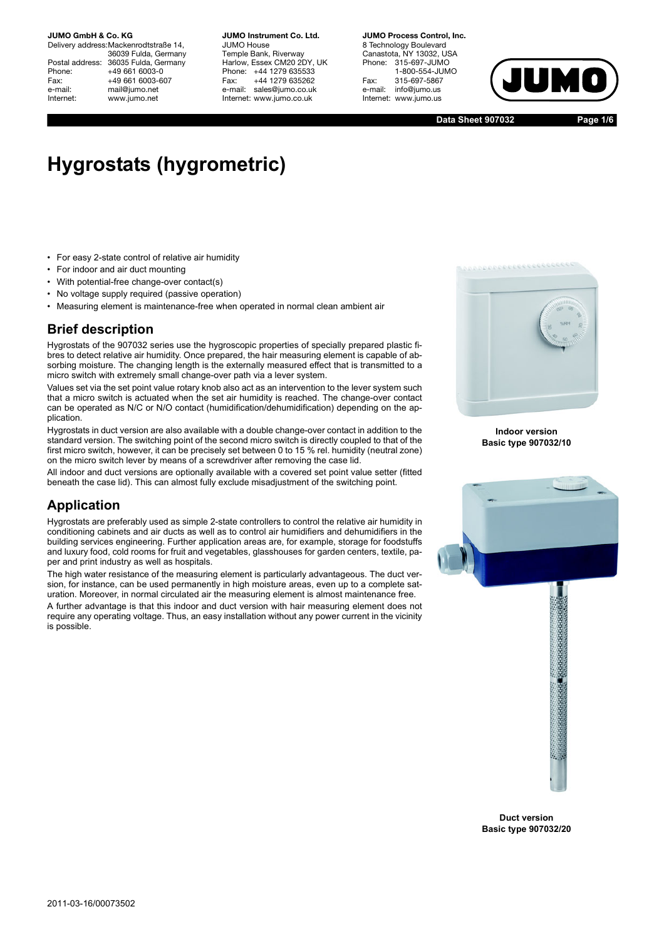Delivery address:Mackenrodtstraße 14, 36039 Fulda, Germany Postal address: 36035 Fulda, Germany<br>Phone: +49 661 6003-0 Phone: +49 661 6003-0<br>Fax: +49 661 6003-6 Fax: +49 661 6003-607<br>e-mail: mail@iumo.net mail@jumo.net Internet: www.jumo.net

**JUMO Instrument Co. Ltd.** JUMO House Temple Bank, Riverway Harlow, Essex CM20 2DY, UK Phone: +44 1279 635533 Fax: +44 1279 635262 e-mail: sales@jumo.co.uk Internet: www.jumo.co.uk

**JUMO Process Control, Inc.** 8 Technology Boulevard Canastota, NY 13032, USA<br>Phone: 315-697-JUMO 315-697-JUMO 1-800-554-JUMO Fax: 315-697-5867<br>e-mail: info@iumo.us info@jumo.us Internet: www.jumo.us



**Data Sheet 907032**

**Page 1/6**

# **Hygrostats (hygrometric)**

- For easy 2-state control of relative air humidity
- For indoor and air duct mounting
- With potential-free change-over contact(s)
- No voltage supply required (passive operation)
- Measuring element is maintenance-free when operated in normal clean ambient air

## **Brief description**

Hygrostats of the 907032 series use the hygroscopic properties of specially prepared plastic fibres to detect relative air humidity. Once prepared, the hair measuring element is capable of absorbing moisture. The changing length is the externally measured effect that is transmitted to a micro switch with extremely small change-over path via a lever system.

Values set via the set point value rotary knob also act as an intervention to the lever system such that a micro switch is actuated when the set air humidity is reached. The change-over contact can be operated as N/C or N/O contact (humidification/dehumidification) depending on the application.

Hygrostats in duct version are also available with a double change-over contact in addition to the standard version. The switching point of the second micro switch is directly coupled to that of the first micro switch, however, it can be precisely set between 0 to 15 % rel. humidity (neutral zone) on the micro switch lever by means of a screwdriver after removing the case lid.

All indoor and duct versions are optionally available with a covered set point value setter (fitted beneath the case lid). This can almost fully exclude misadjustment of the switching point.

## **Application**

Hygrostats are preferably used as simple 2-state controllers to control the relative air humidity in conditioning cabinets and air ducts as well as to control air humidifiers and dehumidifiers in the building services engineering. Further application areas are, for example, storage for foodstuffs and luxury food, cold rooms for fruit and vegetables, glasshouses for garden centers, textile, paper and print industry as well as hospitals.

The high water resistance of the measuring element is particularly advantageous. The duct version, for instance, can be used permanently in high moisture areas, even up to a complete saturation. Moreover, in normal circulated air the measuring element is almost maintenance free.

A further advantage is that this indoor and duct version with hair measuring element does not require any operating voltage. Thus, an easy installation without any power current in the vicinity is possible.



**Indoor version Basic type 907032/10**



**Duct version Basic type 907032/20**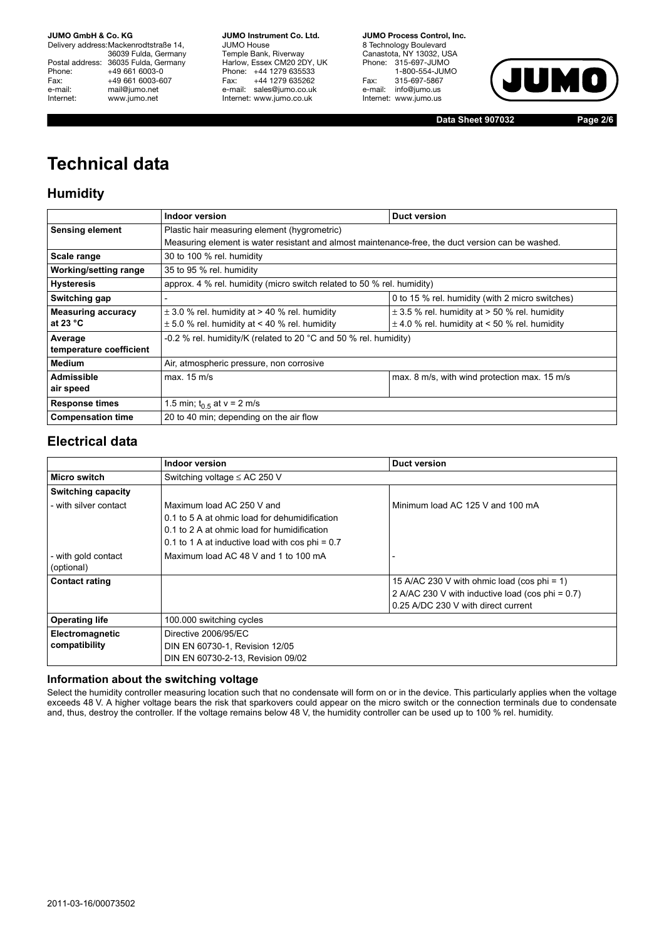Delivery address:Mackenrodtstraße 14, 36039 Fulda, Germany Postal address: 36035 Fulda, Germany<br>Phone: +49 661 6003-0 Phone: +49 661 6003-0<br>Fax: +49 661 6003-60 Fax: +49 661 6003-607<br>e-mail: mail@iumo.net mail@jumo.net Internet: www.jumo.net

**JUMO Instrument Co. Ltd.** JUMO House Temple Bank, Riverway Harlow, Essex CM20 2DY, UK Phone: +44 1279 635533<br>Fax: +44 1279 635262 +44 1279 635262 e-mail: sales@jumo.co.uk Internet: www.jumo.co.uk

**JUMO Process Control, Inc.** 8 Technology Boulevard Canastota, NY 13032, USA Phone: 315-697-JUMO 1-800-554-JUMO Fax: 315-697-5867 e-mail: info@jumo.us Internet: www.jumo.us



**Data Sheet 907032 Page 2/6**

# **Technical data**

# **Humidity**

|                           | <b>Indoor version</b>                                                                             | <b>Duct version</b>                               |  |
|---------------------------|---------------------------------------------------------------------------------------------------|---------------------------------------------------|--|
| <b>Sensing element</b>    | Plastic hair measuring element (hygrometric)                                                      |                                                   |  |
|                           | Measuring element is water resistant and almost maintenance-free, the duct version can be washed. |                                                   |  |
| Scale range               | 30 to 100 % rel. humidity                                                                         |                                                   |  |
| Working/setting range     | 35 to 95 % rel. humidity                                                                          |                                                   |  |
| <b>Hysteresis</b>         | approx. 4 % rel. humidity (micro switch related to 50 % rel. humidity)                            |                                                   |  |
| Switching gap             |                                                                                                   | 0 to 15 % rel. humidity (with 2 micro switches)   |  |
| <b>Measuring accuracy</b> | $\pm$ 3.0 % rel. humidity at > 40 % rel. humidity                                                 | $\pm$ 3.5 % rel. humidity at > 50 % rel. humidity |  |
| at 23 $^{\circ}$ C        | $\pm$ 5.0 % rel. humidity at < 40 % rel. humidity                                                 | $\pm$ 4.0 % rel. humidity at < 50 % rel. humidity |  |
| Average                   | -0.2 % rel. humidity/K (related to 20 °C and 50 % rel. humidity)                                  |                                                   |  |
| temperature coefficient   |                                                                                                   |                                                   |  |
| <b>Medium</b>             | Air, atmospheric pressure, non corrosive                                                          |                                                   |  |
| Admissible                | max. 15 m/s                                                                                       | max. 8 m/s, with wind protection max. 15 m/s      |  |
| air speed                 |                                                                                                   |                                                   |  |
| <b>Response times</b>     | 1.5 min; $t_{0.5}$ at v = 2 m/s                                                                   |                                                   |  |
| <b>Compensation time</b>  | 20 to 40 min; depending on the air flow                                                           |                                                   |  |

# **Electrical data**

|                                   | Indoor version                                                                                                                                                                  | <b>Duct version</b>                                                                                                                    |  |
|-----------------------------------|---------------------------------------------------------------------------------------------------------------------------------------------------------------------------------|----------------------------------------------------------------------------------------------------------------------------------------|--|
| Micro switch                      | Switching voltage $\leq$ AC 250 V                                                                                                                                               |                                                                                                                                        |  |
| <b>Switching capacity</b>         |                                                                                                                                                                                 |                                                                                                                                        |  |
| - with silver contact             | Maximum load AC 250 V and<br>0.1 to 5 A at ohmic load for dehumidification<br>0.1 to 2 A at ohmic load for humidification<br>0.1 to 1 A at inductive load with $\cos$ phi = 0.7 | Minimum load AC 125 V and 100 mA                                                                                                       |  |
| - with gold contact<br>(optional) | Maximum load AC 48 V and 1 to 100 mA                                                                                                                                            |                                                                                                                                        |  |
| <b>Contact rating</b>             |                                                                                                                                                                                 | 15 A/AC 230 V with ohmic load (cos phi = 1)<br>2 A/AC 230 V with inductive load (cos phi = 0.7)<br>0.25 A/DC 230 V with direct current |  |
| <b>Operating life</b>             | 100.000 switching cycles                                                                                                                                                        |                                                                                                                                        |  |
| Electromagnetic<br>compatibility  | Directive 2006/95/EC<br>DIN EN 60730-1, Revision 12/05<br>DIN EN 60730-2-13, Revision 09/02                                                                                     |                                                                                                                                        |  |

### **Information about the switching voltage**

Select the humidity controller measuring location such that no condensate will form on or in the device. This particularly applies when the voltage exceeds 48 V. A higher voltage bears the risk that sparkovers could appear on the micro switch or the connection terminals due to condensate and, thus, destroy the controller. If the voltage remains below 48 V, the humidity controller can be used up to 100 % rel. humidity.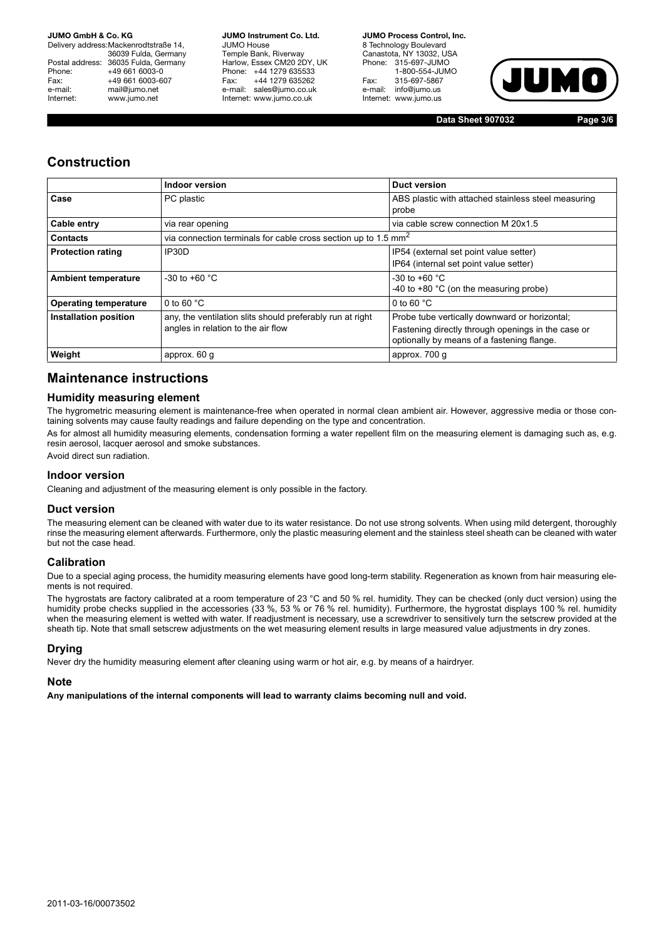Delivery address:Mackenrodtstraße 14, 36039 Fulda, Germany Postal address: 36035 Fulda, Germany<br>Phone: +49 661 6003-0 Phone: +49 661 6003-0<br>Fax: +49 661 6003-6 Fax: +49 661 6003-607<br>e-mail: mail@iumo.net mail@jumo.net Internet: www.jumo.net

**JUMO Instrument Co. Ltd.** JUMO House Temple Bank, Riverway Harlow, Essex CM20 2DY, UK Phone: +44 1279 635533 Fax: +44 1279 635262 e-mail: sales@jumo.co.uk Internet: www.jumo.co.uk

**JUMO Process Control, Inc.** 8 Technology Boulevard Canastota, NY 13032, USA<br>Phone: 315-697-JUMO 315-697-JUMO 1-800-554-JUMO Fax: 315-697-5867<br>e-mail: info@iumo.us info@jumo.us Internet: www.jumo.us



**Data Sheet 907032 Page 3/6**

## **Construction**

|                              | Indoor version                                                                                  | <b>Duct version</b>                                                                                                                               |
|------------------------------|-------------------------------------------------------------------------------------------------|---------------------------------------------------------------------------------------------------------------------------------------------------|
| Case                         | PC plastic                                                                                      | ABS plastic with attached stainless steel measuring<br>probe                                                                                      |
| Cable entry                  | via rear opening                                                                                | via cable screw connection M 20x1.5                                                                                                               |
| <b>Contacts</b>              | via connection terminals for cable cross section up to 1.5 mm <sup>2</sup>                      |                                                                                                                                                   |
| <b>Protection rating</b>     | IP30D                                                                                           | IP54 (external set point value setter)<br>IP64 (internal set point value setter)                                                                  |
| <b>Ambient temperature</b>   | $-30$ to $+60$ °C                                                                               | $-30$ to $+60$ °C<br>-40 to +80 $^{\circ}$ C (on the measuring probe)                                                                             |
| <b>Operating temperature</b> | 0 to 60 $°C$                                                                                    | 0 to 60 $°C$                                                                                                                                      |
| Installation position        | any, the ventilation slits should preferably run at right<br>angles in relation to the air flow | Probe tube vertically downward or horizontal;<br>Fastening directly through openings in the case or<br>optionally by means of a fastening flange. |
| Weight                       | approx. 60 g                                                                                    | approx. 700 g                                                                                                                                     |

# **Maintenance instructions**

### **Humidity measuring element**

The hygrometric measuring element is maintenance-free when operated in normal clean ambient air. However, aggressive media or those containing solvents may cause faulty readings and failure depending on the type and concentration.

As for almost all humidity measuring elements, condensation forming a water repellent film on the measuring element is damaging such as, e.g. resin aerosol, lacquer aerosol and smoke substances.

Avoid direct sun radiation.

#### **Indoor version**

Cleaning and adjustment of the measuring element is only possible in the factory.

#### **Duct version**

The measuring element can be cleaned with water due to its water resistance. Do not use strong solvents. When using mild detergent, thoroughly rinse the measuring element afterwards. Furthermore, only the plastic measuring element and the stainless steel sheath can be cleaned with water but not the case head.

#### **Calibration**

Due to a special aging process, the humidity measuring elements have good long-term stability. Regeneration as known from hair measuring elements is not required.

The hygrostats are factory calibrated at a room temperature of 23 °C and 50 % rel. humidity. They can be checked (only duct version) using the humidity probe checks supplied in the accessories (33 %, 53 % or 76 % rel. humidity). Furthermore, the hygrostat displays 100 % rel. humidity when the measuring element is wetted with water. If readjustment is necessary, use a screwdriver to sensitively turn the setscrew provided at the sheath tip. Note that small setscrew adjustments on the wet measuring element results in large measured value adjustments in dry zones.

#### **Drying**

Never dry the humidity measuring element after cleaning using warm or hot air, e.g. by means of a hairdryer.

#### **Note**

**Any manipulations of the internal components will lead to warranty claims becoming null and void.**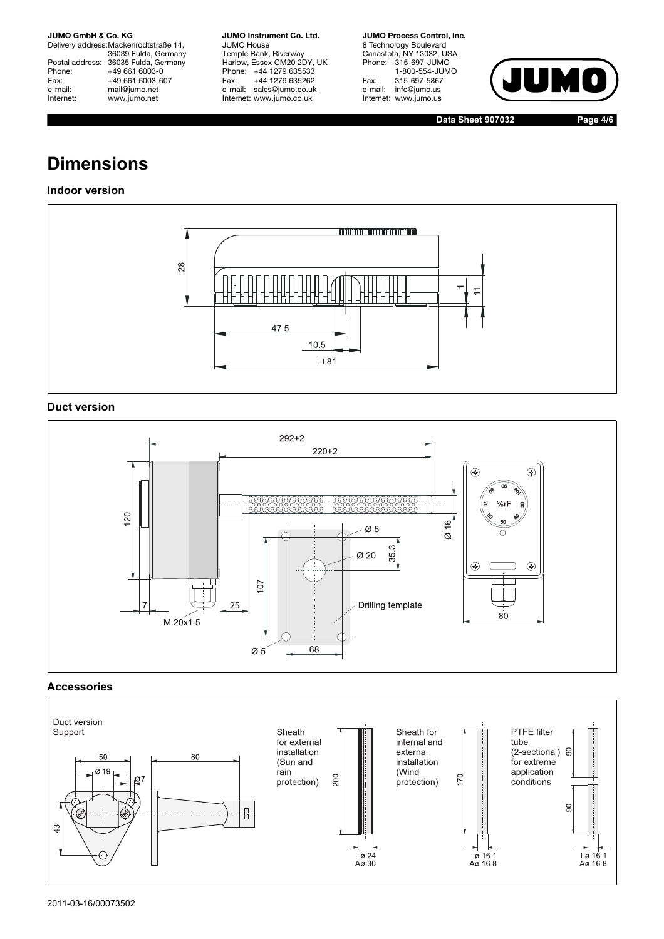Delivery address:Mackenrodtstraße 14, 36039 Fulda, Germany Postal address: 36035 Fulda, Germany Phone: +49 661 6003-0<br>Fax: +49 661 6003-6 Fax: +49 661 6003-607<br>e-mail: mail@jumo.net e-mail: mail@jumo.net<br>| Internet: www.iumo.net www.jumo.net

**JUMO Instrument Co. Ltd.** JUMO House Temple Bank, Riverway Harlow, Essex CM20 2DY, UK Phone: +44 1279 635533<br>Fax: +44 1279 635262 +44 1279 635262 e-mail: sales@jumo.co.uk Internet: www.jumo.co.uk

**JUMO Process Control, Inc.** 8 Technology Boulevard Canastota, NY 13032, USA Phone: 315-697-JUMO 1-800-554-JUMO Fax: 315-697-5867 e-mail: info@jumo.us Internet: www.jumo.us



**Data Sheet 907032 Page 4/6**

# **Dimensions**

## **Indoor version**



## **Duct version**



### **Accessories**

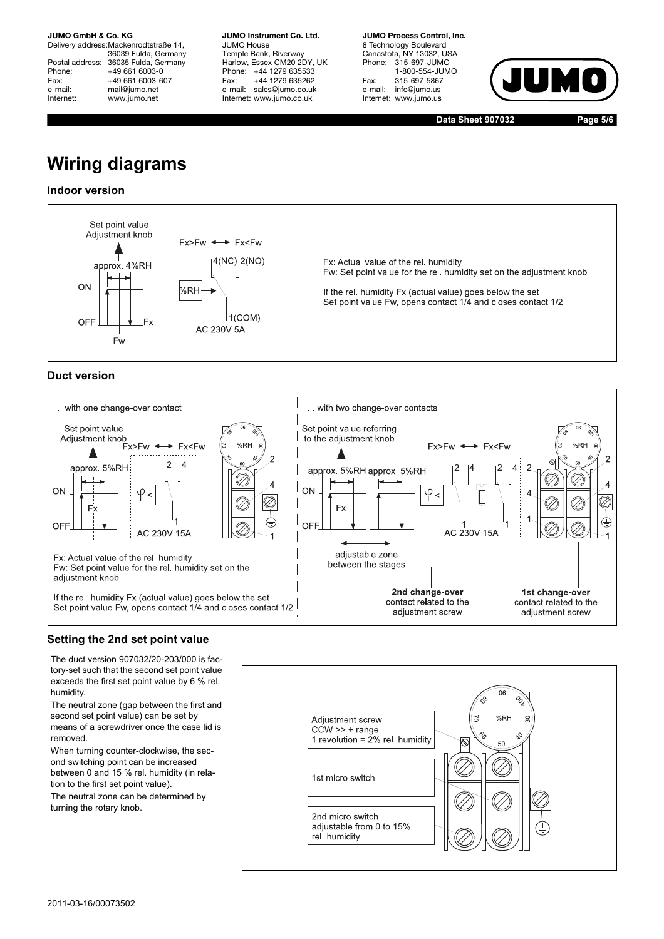Delivery address:Mackenrodtstraße 14, 36039 Fulda, Germany Postal address: 36035 Fulda, Germany<br>Phone: +49 661 6003-0 Phone: +49 661 6003-0<br>Fax: +49 661 6003-6 Fax: +49 661 6003-607<br>e-mail: mail@iumo.net mail@jumo.net Internet: www.jumo.net

**JUMO Instrument Co. Ltd.** JUMO House Temple Bank, Riverway Harlow, Essex CM20 2DY, UK Phone: +44 1279 635533 Fax: +44 1279 635262 e-mail: sales@jumo.co.uk Internet: www.jumo.co.uk

**JUMO Process Control, Inc.** 8 Technology Boulevard Canastota, NY 13032, USA<br>Phone: 315-697-JUMO 315-697-JUMO 1-800-554-JUMO Fax: 315-697-5867 info@jumo.us Internet: www.jumo.us



**Data Sheet 907032 Page 5/6**

# **Wiring diagrams**

### **Indoor version**



## **Duct version**



### **Setting the 2nd set point value**

The duct version 907032/20-203/000 is factory-set such that the second set point value exceeds the first set point value by 6 % rel. humidity.

The neutral zone (gap between the first and second set point value) can be set by means of a screwdriver once the case lid is removed.

When turning counter-clockwise, the second switching point can be increased between 0 and 15 % rel. humidity (in relation to the first set point value). The neutral zone can be determined by turning the rotary knob.